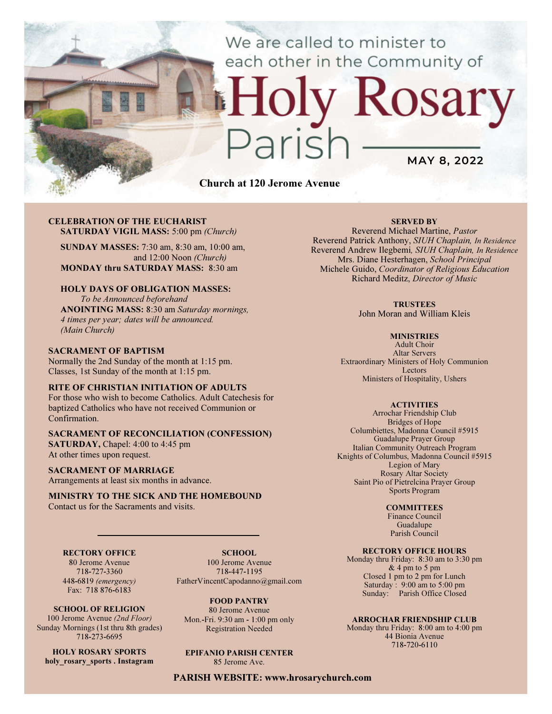# We are called to minister to each other in the Community of

# Rosary MAY 8, 2022

Church at 120 Jerome Avenue

#### CELEBRATION OF THE EUCHARIST SATURDAY VIGIL MASS: 5:00 pm (Church)

SUNDAY MASSES: 7:30 am, 8:30 am, 10:00 am, and 12:00 Noon (Church) MONDAY thru SATURDAY MASS: 8:30 am

#### HOLY DAYS OF OBLIGATION MASSES:

To be Announced beforehand ANOINTING MASS: 8:30 am Saturday mornings, 4 times per year; dates will be announced. (Main Church)

#### SACRAMENT OF BAPTISM

Normally the 2nd Sunday of the month at 1:15 pm. Classes, 1st Sunday of the month at 1:15 pm.

#### RITE OF CHRISTIAN INITIATION OF ADULTS

For those who wish to become Catholics. Adult Catechesis for baptized Catholics who have not received Communion or Confirmation.

## SACRAMENT OF RECONCILIATION (CONFESSION)

SATURDAY, Chapel: 4:00 to 4:45 pm At other times upon request.

#### SACRAMENT OF MARRIAGE

Arrangements at least six months in advance.

#### MINISTRY TO THE SICK AND THE HOMEBOUND Contact us for the Sacraments and visits.

#### RECTORY OFFICE

80 Jerome Avenue 718-727-3360 448-6819 (emergency) Fax: 718 876-6183

SCHOOL OF RELIGION 100 Jerome Avenue (2nd Floor) Sunday Mornings (1st thru 8th grades) 718-273-6695

HOLY ROSARY SPORTS holy rosary sports . Instagram

SCHOOL. 100 Jerome Avenue 718-447-1195 FatherVincentCapodanno@gmail.com

FOOD PANTRY 80 Jerome Avenue Mon.-Fri. 9:30 am - 1:00 pm only Registration Needed

EPIFANIO PARISH CENTER 85 Jerome Ave.

PARISH WEBSITE: www.hrosarychurch.com

#### SERVED BY

Reverend Michael Martine, Pastor Reverend Patrick Anthony, SIUH Chaplain, In Residence Reverend Andrew Ilegbemi, SIUH Chaplain, In Residence Mrs. Diane Hesterhagen, School Principal Michele Guido, Coordinator of Religious Education Richard Meditz, Director of Music

#### **TRUSTEES**

John Moran and William Kleis

#### **MINISTRIES**

Adult Choir Altar Servers Extraordinary Ministers of Holy Communion Lectors Ministers of Hospitality, Ushers

#### **ACTIVITIES**

Arrochar Friendship Club Bridges of Hope Columbiettes, Madonna Council #5915 Guadalupe Prayer Group Italian Community Outreach Program Knights of Columbus, Madonna Council #5915 Legion of Mary Rosary Altar Society Saint Pio of Pietrelcina Prayer Group Sports Program

#### **COMMITTEES**

Finance Council Guadalupe Parish Council

#### RECTORY OFFICE HOURS

Monday thru Friday: 8:30 am to 3:30 pm & 4 pm to 5 pm Closed 1 pm to 2 pm for Lunch Saturday:  $9:00 \text{ am to } 5:00 \text{ pm}$ Sunday: Parish Office Closed

#### ARROCHAR FRIENDSHIP CLUB

Monday thru Friday: 8:00 am to 4:00 pm 44 Bionia Avenue 718-720-6110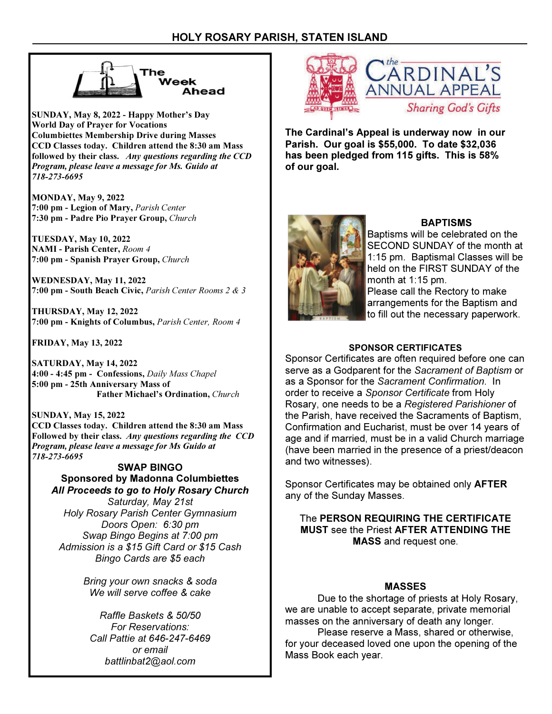

SUNDAY, May 8, 2022 - Happy Mother's Day World Day of Prayer for Vocations Columbiettes Membership Drive during Masses CCD Classes today. Children attend the 8:30 am Mass followed by their class. Any questions regarding the CCD Program, please leave a message for Ms. Guido at 718-273-6695

MONDAY, May 9, 2022 7:00 pm - Legion of Mary, Parish Center 7:30 pm - Padre Pio Prayer Group, Church

TUESDAY, May 10, 2022 NAMI - Parish Center, Room 4 7:00 pm - Spanish Prayer Group, Church

WEDNESDAY, May 11, 2022 7:00 pm - South Beach Civic, Parish Center Rooms 2 & 3

THURSDAY, May 12, 2022 7:00 pm - Knights of Columbus, Parish Center, Room 4

FRIDAY, May 13, 2022

SATURDAY, May 14, 2022 4:00 - 4:45 pm - Confessions, Daily Mass Chapel 5:00 pm - 25th Anniversary Mass of Father Michael's Ordination, Church

SUNDAY, May 15, 2022 CCD Classes today. Children attend the 8:30 am Mass Followed by their class. Any questions regarding the CCD Program, please leave a message for Ms Guido at 718-273-6695

SWAP BINGO Sponsored by Madonna Columbiettes All Proceeds to go to Holy Rosary Church Saturday, May 21st Holy Rosary Parish Center Gymnasium Doors Open: 6:30 pm Swap Bingo Begins at 7:00 pm Admission is a \$15 Gift Card or \$15 Cash Bingo Cards are \$5 each

> Bring your own snacks & soda We will serve coffee & cake

Raffle Baskets & 50/50 For Reservations: Call Pattie at 646-247-6469 or email battlinbat2@aol.com



The Cardinal's Appeal is underway now in our Parish. Our goal is \$55,000. To date \$32,036 has been pledged from 115 gifts. This is 58% of our goal.



# **BAPTISMS**

Baptisms will be celebrated on the SECOND SUNDAY of the month at 1:15 pm. Baptismal Classes will be held on the FIRST SUNDAY of the month at 1:15 pm. Please call the Rectory to make arrangements for the Baptism and to fill out the necessary paperwork.

# SPONSOR CERTIFICATES

Sponsor Certificates are often required before one can serve as a Godparent for the Sacrament of Baptism or as a Sponsor for the Sacrament Confirmation. In order to receive a Sponsor Certificate from Holy Rosary, one needs to be a Registered Parishioner of the Parish, have received the Sacraments of Baptism, Confirmation and Eucharist, must be over 14 years of age and if married, must be in a valid Church marriage (have been married in the presence of a priest/deacon and two witnesses).

Sponsor Certificates may be obtained only AFTER any of the Sunday Masses.

The PERSON REQUIRING THE CERTIFICATE MUST see the Priest AFTER ATTENDING THE MASS and request one.

## MASSES

 Due to the shortage of priests at Holy Rosary, we are unable to accept separate, private memorial masses on the anniversary of death any longer.

 Please reserve a Mass, shared or otherwise, for your deceased loved one upon the opening of the Mass Book each year.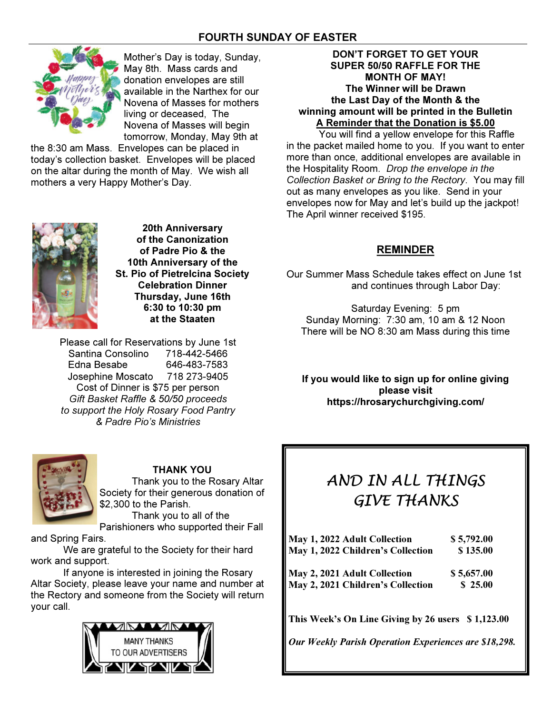# FOURTH SUNDAY OF EASTER



Mother's Day is today, Sunday, May 8th. Mass cards and donation envelopes are still available in the Narthex for our Novena of Masses for mothers living or deceased, The Novena of Masses will begin tomorrow, Monday, May 9th at

the 8:30 am Mass. Envelopes can be placed in today's collection basket. Envelopes will be placed on the altar during the month of May. We wish all mothers a very Happy Mother's Day.



20th Anniversary of the Canonization of Padre Pio & the 10th Anniversary of the St. Pio of Pietrelcina Society Celebration Dinner Thursday, June 16th 6:30 to 10:30 pm at the Staaten

Please call for Reservations by June 1st Santina Consolino 718-442-5466 Edna Besabe 646-483-7583 Josephine Moscato 718 273-9405 Cost of Dinner is \$75 per person Gift Basket Raffle & 50/50 proceeds to support the Holy Rosary Food Pantry & Padre Pio's Ministries



# THANK YOU

 Thank you to the Rosary Altar Society for their generous donation of \$2,300 to the Parish.

 Thank you to all of the Parishioners who supported their Fall

and Spring Fairs.

 We are grateful to the Society for their hard work and support.

 If anyone is interested in joining the Rosary Altar Society, please leave your name and number at the Rectory and someone from the Society will return your call.



## DON'T FORGET TO GET YOUR SUPER 50/50 RAFFLE FOR THE MONTH OF MAY! The Winner will be Drawn the Last Day of the Month & the winning amount will be printed in the Bulletin A Reminder that the Donation is \$5.00

 You will find a yellow envelope for this Raffle in the packet mailed home to you. If you want to enter more than once, additional envelopes are available in the Hospitality Room. Drop the envelope in the Collection Basket or Bring to the Rectory. You may fill out as many envelopes as you like. Send in your envelopes now for May and let's build up the jackpot! The April winner received \$195.

# REMINDER

Our Summer Mass Schedule takes effect on June 1st and continues through Labor Day:

Saturday Evening: 5 pm Sunday Morning: 7:30 am, 10 am & 12 Noon There will be NO 8:30 am Mass during this time

If you would like to sign up for online giving please visit https://hrosarychurchgiving.com/

# AND IN ALL THINGS GIVE THANKS

| \$5,792.00<br>\$135.00 |
|------------------------|
| \$5,657.00             |
|                        |
| \$25.00                |

This Week's On Line Giving by 26 users \$1,123.00

Our Weekly Parish Operation Experiences are \$18,298.